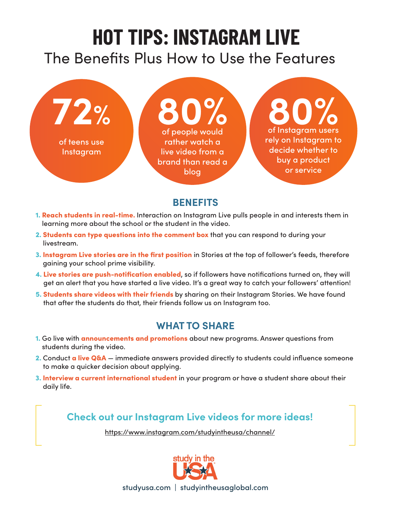# **HOT TIPS: INSTAGRAM LIVE**

## The Benefits Plus How to Use the Features



### **BENEFITS**

- 1. Reach students in real-time. Interaction on Instagram Live pulls people in and interests them in learning more about the school or the student in the video.
- 2. Students can type questions into the comment box that you can respond to during your livestream.
- 3. Instagram Live stories are in the first position in Stories at the top of follower's feeds, therefore gaining your school prime visibility.
- 4. Live stories are push-notification enabled, so if followers have notifications turned on, they will get an alert that you have started a live video. It's a great way to catch your followers' attention!
- 5. Students share videos with their friends by sharing on their Instagram Stories. We have found that after the students do that, their friends follow us on Instagram too.

#### **WHAT TO SHARE**

- 1. Go live with **announcements and promotions** about new programs. Answer questions from students during the video.
- 2. Conduct a live Q&A immediate answers provided directly to students could influence someone to make a quicker decision about applying.
- 3. Interview a current international student in your program or have a student share about their daily life.

### **Check out our Instagram Live videos for more ideas!**

https://www.instagram.com/studyintheusa/channel/